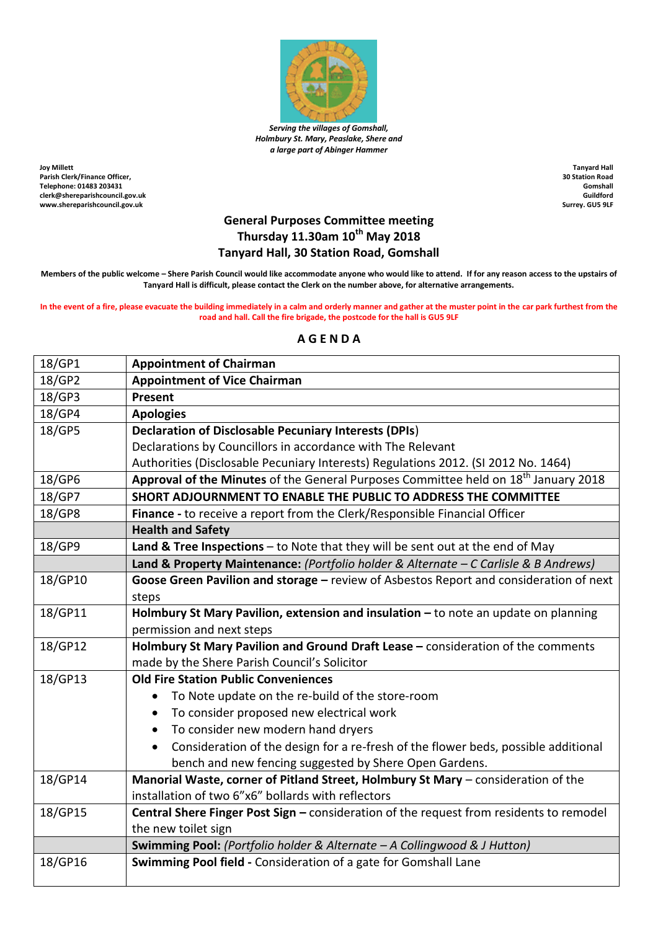

*Serving the villages of Gomshall, Holmbury St. Mary, Peaslake, Shere and a large part of Abinger Hammer*

**Joy Millett Parish Clerk/Finance Officer, Telephone: 01483 203431 clerk@shereparishcouncil.gov.uk www.shereparishcouncil.gov.uk**

**Tanyard Hall 30 Station Road Gomshall Guildford Surrey. GU5 9LF**

## **General Purposes Committee meeting Thursday 11.30am 10th May 2018 Tanyard Hall, 30 Station Road, Gomshall**

**Members of the public welcome – Shere Parish Council would like accommodate anyone who would like to attend. If for any reason access to the upstairs of Tanyard Hall is difficult, please contact the Clerk on the number above, for alternative arrangements.**

**In the event of a fire, please evacuate the building immediately in a calm and orderly manner and gather at the muster point in the car park furthest from the road and hall. Call the fire brigade, the postcode for the hall is GU5 9LF**

## **A G E N D A**

| 18/GP1  | <b>Appointment of Chairman</b>                                                                  |
|---------|-------------------------------------------------------------------------------------------------|
| 18/GP2  | <b>Appointment of Vice Chairman</b>                                                             |
| 18/GP3  | Present                                                                                         |
| 18/GP4  | <b>Apologies</b>                                                                                |
| 18/GP5  | <b>Declaration of Disclosable Pecuniary Interests (DPIs)</b>                                    |
|         | Declarations by Councillors in accordance with The Relevant                                     |
|         | Authorities (Disclosable Pecuniary Interests) Regulations 2012. (SI 2012 No. 1464)              |
| 18/GP6  | Approval of the Minutes of the General Purposes Committee held on 18 <sup>th</sup> January 2018 |
| 18/GP7  | SHORT ADJOURNMENT TO ENABLE THE PUBLIC TO ADDRESS THE COMMITTEE                                 |
| 18/GP8  | Finance - to receive a report from the Clerk/Responsible Financial Officer                      |
|         | <b>Health and Safety</b>                                                                        |
| 18/GP9  | Land & Tree Inspections $-$ to Note that they will be sent out at the end of May                |
|         | Land & Property Maintenance: (Portfolio holder & Alternate - C Carlisle & B Andrews)            |
| 18/GP10 | Goose Green Pavilion and storage - review of Asbestos Report and consideration of next          |
|         | steps                                                                                           |
| 18/GP11 | Holmbury St Mary Pavilion, extension and insulation - to note an update on planning             |
|         | permission and next steps                                                                       |
| 18/GP12 | Holmbury St Mary Pavilion and Ground Draft Lease - consideration of the comments                |
|         | made by the Shere Parish Council's Solicitor                                                    |
| 18/GP13 | <b>Old Fire Station Public Conveniences</b>                                                     |
|         | To Note update on the re-build of the store-room                                                |
|         | To consider proposed new electrical work<br>$\bullet$                                           |
|         | To consider new modern hand dryers<br>$\bullet$                                                 |
|         | Consideration of the design for a re-fresh of the flower beds, possible additional<br>$\bullet$ |
|         | bench and new fencing suggested by Shere Open Gardens.                                          |
| 18/GP14 | Manorial Waste, corner of Pitland Street, Holmbury St Mary - consideration of the               |
|         | installation of two 6"x6" bollards with reflectors                                              |
| 18/GP15 | Central Shere Finger Post Sign - consideration of the request from residents to remodel         |
|         | the new toilet sign                                                                             |
|         | Swimming Pool: (Portfolio holder & Alternate - A Collingwood & J Hutton)                        |
| 18/GP16 | Swimming Pool field - Consideration of a gate for Gomshall Lane                                 |